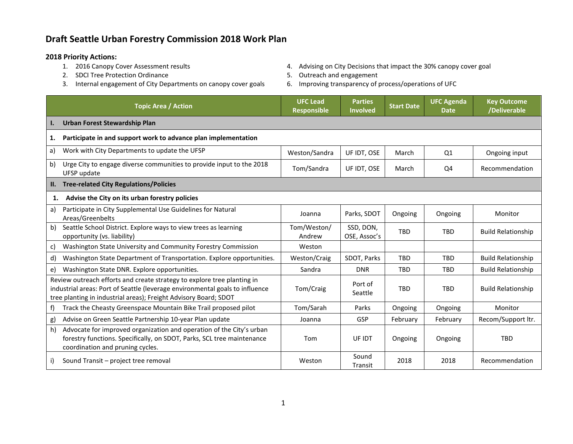## **Draft Seattle Urban Forestry Commission 2018 Work Plan**

- **2018 Priority Actions:**
	- 2. SDCI Tree Protection Ordinance and Equipment of the Section 4 of the Section 4 of the Section 4 of the Section 4 of the Section 4 of the Section 4 of the Section 4 of the Section 4 of the Section 4 of the Section 4 of t
	- 3. Internal engagement of City Departments on canopy cover goals 6. Improving transparency of process/operations of UFC
- 4. Advising on City Decisions that impact the 30% canopy cover goal
- -

|                                                                                                                                                                                                                             | <b>Topic Area / Action</b>                                                                                                                                                         | <b>UFC Lead</b><br><b>Responsible</b> | <b>Parties</b><br><b>Involved</b> | <b>Start Date</b> | <b>UFC Agenda</b><br><b>Date</b> | <b>Key Outcome</b><br>/Deliverable |
|-----------------------------------------------------------------------------------------------------------------------------------------------------------------------------------------------------------------------------|------------------------------------------------------------------------------------------------------------------------------------------------------------------------------------|---------------------------------------|-----------------------------------|-------------------|----------------------------------|------------------------------------|
| ı.                                                                                                                                                                                                                          | <b>Urban Forest Stewardship Plan</b>                                                                                                                                               |                                       |                                   |                   |                                  |                                    |
| 1.                                                                                                                                                                                                                          | Participate in and support work to advance plan implementation                                                                                                                     |                                       |                                   |                   |                                  |                                    |
| a)                                                                                                                                                                                                                          | Work with City Departments to update the UFSP                                                                                                                                      | Weston/Sandra                         | UF IDT, OSE                       | March             | Q1                               | Ongoing input                      |
| b)                                                                                                                                                                                                                          | Urge City to engage diverse communities to provide input to the 2018<br>UFSP update                                                                                                | Tom/Sandra                            | UF IDT, OSE                       | March             | Q4                               | Recommendation                     |
| П.                                                                                                                                                                                                                          | <b>Tree-related City Regulations/Policies</b>                                                                                                                                      |                                       |                                   |                   |                                  |                                    |
| 1.                                                                                                                                                                                                                          | Advise the City on its urban forestry policies                                                                                                                                     |                                       |                                   |                   |                                  |                                    |
| a)                                                                                                                                                                                                                          | Participate in City Supplemental Use Guidelines for Natural<br>Areas/Greenbelts                                                                                                    | Joanna                                | Parks, SDOT                       | Ongoing           | Ongoing                          | Monitor                            |
| b)                                                                                                                                                                                                                          | Seattle School District. Explore ways to view trees as learning<br>opportunity (vs. liability)                                                                                     | Tom/Weston/<br>Andrew                 | SSD, DON,<br>OSE, Assoc's         | <b>TBD</b>        | <b>TBD</b>                       | <b>Build Relationship</b>          |
| C)                                                                                                                                                                                                                          | Washington State University and Community Forestry Commission                                                                                                                      | Weston                                |                                   |                   |                                  |                                    |
| d)                                                                                                                                                                                                                          | Washington State Department of Transportation. Explore opportunities.                                                                                                              | Weston/Craig                          | SDOT, Parks                       | <b>TBD</b>        | <b>TBD</b>                       | <b>Build Relationship</b>          |
| e)                                                                                                                                                                                                                          | Washington State DNR. Explore opportunities.                                                                                                                                       | Sandra                                | <b>DNR</b>                        | <b>TBD</b>        | <b>TBD</b>                       | <b>Build Relationship</b>          |
| Review outreach efforts and create strategy to explore tree planting in<br>industrial areas: Port of Seattle (leverage environmental goals to influence<br>tree planting in industrial areas); Freight Advisory Board; SDOT |                                                                                                                                                                                    | Tom/Craig                             | Port of<br>Seattle                | <b>TBD</b>        | <b>TBD</b>                       | <b>Build Relationship</b>          |
| f)                                                                                                                                                                                                                          | Track the Cheasty Greenspace Mountain Bike Trail proposed pilot                                                                                                                    | Tom/Sarah                             | Parks                             | Ongoing           | Ongoing                          | Monitor                            |
| g)                                                                                                                                                                                                                          | Advise on Green Seattle Partnership 10-year Plan update                                                                                                                            | Joanna                                | GSP                               | February          | February                         | Recom/Support ltr.                 |
| h)                                                                                                                                                                                                                          | Advocate for improved organization and operation of the City's urban<br>forestry functions. Specifically, on SDOT, Parks, SCL tree maintenance<br>coordination and pruning cycles. | Tom                                   | UF IDT                            | Ongoing           | Ongoing                          | <b>TBD</b>                         |
| i)                                                                                                                                                                                                                          | Sound Transit - project tree removal                                                                                                                                               | Weston                                | Sound<br>Transit                  | 2018              | 2018                             | Recommendation                     |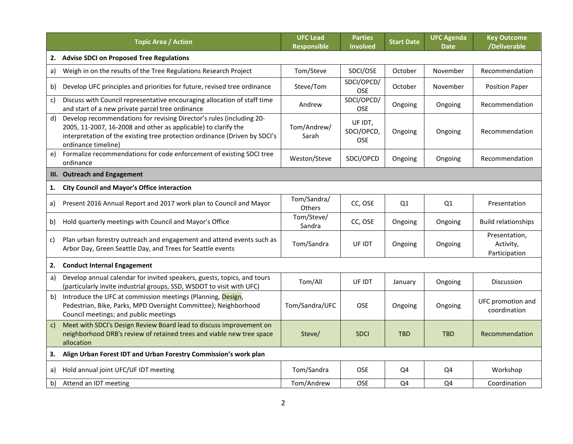|              | <b>Topic Area / Action</b>                                                                                                                                                                                                                  | <b>UFC Lead</b><br><b>Responsible</b> | <b>Parties</b><br><b>Involved</b> | <b>Start Date</b> | <b>UFC Agenda</b><br><b>Date</b> | <b>Key Outcome</b><br>/Deliverable          |
|--------------|---------------------------------------------------------------------------------------------------------------------------------------------------------------------------------------------------------------------------------------------|---------------------------------------|-----------------------------------|-------------------|----------------------------------|---------------------------------------------|
| 2.           | <b>Advise SDCI on Proposed Tree Regulations</b>                                                                                                                                                                                             |                                       |                                   |                   |                                  |                                             |
| a)           | Weigh in on the results of the Tree Regulations Research Project                                                                                                                                                                            | Tom/Steve                             | SDCI/OSE                          | October           | November                         | Recommendation                              |
| b)           | Develop UFC principles and priorities for future, revised tree ordinance                                                                                                                                                                    | Steve/Tom                             | SDCI/OPCD/<br>OSE                 | October           | November                         | <b>Position Paper</b>                       |
| $\mathsf{c}$ | Discuss with Council representative encouraging allocation of staff time<br>and start of a new private parcel tree ordinance                                                                                                                | Andrew                                | SDCI/OPCD/<br>OSE                 | Ongoing           | Ongoing                          | Recommendation                              |
| d)           | Develop recommendations for revising Director's rules (including 20-<br>2005, 11-2007, 16-2008 and other as applicable) to clarify the<br>interpretation of the existing tree protection ordinance (Driven by SDCI's<br>ordinance timeline) | Tom/Andrew/<br>Sarah                  | UF IDT,<br>SDCI/OPCD,<br>OSE      | Ongoing           | Ongoing                          | Recommendation                              |
| e)           | Formalize recommendations for code enforcement of existing SDCI tree<br>ordinance                                                                                                                                                           | Weston/Steve                          | SDCI/OPCD                         | Ongoing           | Ongoing                          | Recommendation                              |
|              | III. Outreach and Engagement                                                                                                                                                                                                                |                                       |                                   |                   |                                  |                                             |
| 1.           | <b>City Council and Mayor's Office interaction</b>                                                                                                                                                                                          |                                       |                                   |                   |                                  |                                             |
| a)           | Present 2016 Annual Report and 2017 work plan to Council and Mayor                                                                                                                                                                          | Tom/Sandra/<br>Others                 | CC, OSE                           | Q1                | Q1                               | Presentation                                |
| b)           | Hold quarterly meetings with Council and Mayor's Office                                                                                                                                                                                     | Tom/Steve/<br>Sandra                  | CC, OSE                           | Ongoing           | Ongoing                          | <b>Build relationships</b>                  |
| C)           | Plan urban forestry outreach and engagement and attend events such as<br>Arbor Day, Green Seattle Day, and Trees for Seattle events                                                                                                         | Tom/Sandra                            | UF IDT                            | Ongoing           | Ongoing                          | Presentation,<br>Activity,<br>Participation |
| 2.           | <b>Conduct Internal Engagement</b>                                                                                                                                                                                                          |                                       |                                   |                   |                                  |                                             |
| a)           | Develop annual calendar for invited speakers, guests, topics, and tours<br>(particularly invite industrial groups, SSD, WSDOT to visit with UFC)                                                                                            | Tom/All                               | UF IDT                            | January           | Ongoing                          | Discussion                                  |
| b)           | Introduce the UFC at commission meetings (Planning, Design,<br>Pedestrian, Bike, Parks, MPD Oversight Committee); Neighborhood<br>Council meetings; and public meetings                                                                     | Tom/Sandra/UFC                        | <b>OSE</b>                        | Ongoing           | Ongoing                          | UFC promotion and<br>coordination           |
| c)           | Meet with SDCI's Design Review Board lead to discuss improvement on<br>neighborhood DRB's review of retained trees and viable new tree space<br>allocation                                                                                  | Steve/                                | <b>SDCI</b>                       | <b>TBD</b>        | <b>TBD</b>                       | Recommendation                              |
| 3.           | Align Urban Forest IDT and Urban Forestry Commission's work plan                                                                                                                                                                            |                                       |                                   |                   |                                  |                                             |
| a)           | Hold annual joint UFC/UF IDT meeting                                                                                                                                                                                                        | Tom/Sandra                            | <b>OSE</b>                        | Q4                | Q4                               | Workshop                                    |
| b)           | Attend an IDT meeting                                                                                                                                                                                                                       | Tom/Andrew                            | <b>OSE</b>                        | Q4                | Q4                               | Coordination                                |